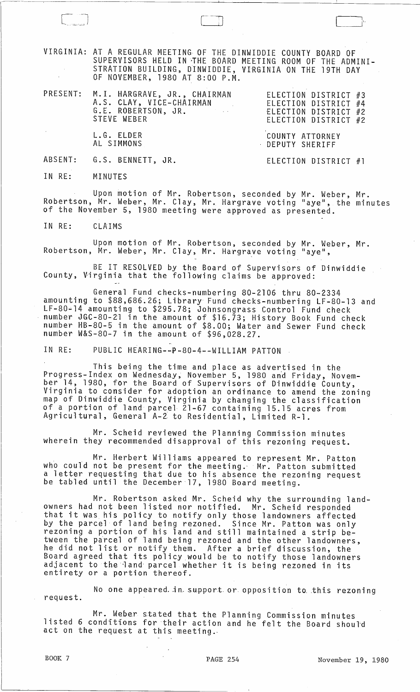VIRGINIA: AT A REGULAR MEETING OF THE DINWIDDIE COUNTY BOARD OF SUPERVISORS HELD IN ~HE BOARD MEETING ROOM OF THE ADMINI-STRATION BUILDING, DINWIDDIE, VIRGINIA ON THE 19TH DAY Of NOVEMBER, 1980 AT 8:00 P.M.

--~-----~----------------~---------~----~~--~~--------------~-----------------

| PRESENT: M.I. HARGRAVE, JR., CHAIRMAN<br>A.S. CLAY, VICE-CHAIRMAN<br>G.E. ROBERTSON, JR.<br><b>Contract Contract</b><br>STEVE WEBER | ELECTION DISTRICT #3<br>ELECTION DISTRICT #4<br>ELECTION DISTRICT #2<br>ELECTION DISTRICT #2 |  |
|-------------------------------------------------------------------------------------------------------------------------------------|----------------------------------------------------------------------------------------------|--|
|                                                                                                                                     |                                                                                              |  |

COUNTY ATTORNEY DEPUTY SHERIFF

ABSENT: G.S. BENNETT, JR.

L.G. ELDER AL SIMMONS

ELECTION DISTRICT #1

IN RE: MINUTES

Upon motion of Mr. Robertson, seconded by Mr. Weber, Mr. Robertson, Mr. Weber, Mr. Clay, Mr. Hargrave voting "aye", the minutes of the November 5, 1980 meeting were approved as presented.

IN RE: CLAIMS

Upon motion of Mr. Robertson, seconded by Mr. Weber, Mr. Robertson, Mr. Weber, Mr. Clay, Mr. Hargrave voting "aye",

BE IT RESOLVED by the Board of Supervisors of Dinwiddie County, Virginia that the following claims be approved:

General Fund checks-numbering 80-2106 thru 80-2334 amounting to \$88,686.26; Library Fund checks-numbering LF-80-13 and LF-80~14 amounting to \$295.78; Johnsongrass Control Fund check number JGC-80-21 in the amount of \$16.73; History Book Fund check number HB-80-5 in the amount of \$8.00; Water and Sewer Fund check number W&S-80-7 in the amount of \$96,028.27.

IN RE: PUBLIC HEARING--P-80-4--WILLIAM PATTON

This being the time and place as advertised in the Progress-Index on Wednesday, November 5, 1980 and Friday, November 14, 1980, for the Board of Supervisors of Dinwiddie County, Virginia to consider for adoption an ordinance to amend the zoning map of Dinwiddie County, Virginia by changing the classification of a portion of land parcel 21-67 containing 15.15 acres from Agricultural, General A-2 to Residential, Limited R-1.

Mr. Scheid reviewed the Planning Commission minutes wherein they recommended disapproval of this rezoning request.

Mr. Herbert Williams appeared to represent Mr. Patton who could not be present for the meeting. Mr. Patton submitted a letter requesting that due to his absence the rezoning request<br>a letter requesting that due to his absence the rezoning request<br>be tabled until the December 17, 1980 Board meeting.

Mr. Robertson asked Mr. Scheid why the surrounding landowners had not been listed nor notified. Mr. Scheid responded owners had not been risted not notified. Mr. Scheid responded<br>that it was his policy to notify only those landowners affected by the parcel of land being rezoned. Since Mr. Patton was only rezoning a portion of his land and still maintained a strip between the parcel of land being rezoned and the other landowners, he did not list or notify them. After a brief discussion, the Board agreed that its policy would be to notify those landowners bourd agreed that its pointy would be to hotiny those landowner<br>adjacent to the land parcel whether it is being rezoned in its adjacent to the land parcel whether it is being rezoned in its entirety or a portion thereof.

No one appeared in support or opposition to this rezoning request.

Mr. Weber stated that the Planning Commission minutes listed 6 conditions for their action and he felt the Board should act on the request at this meeting.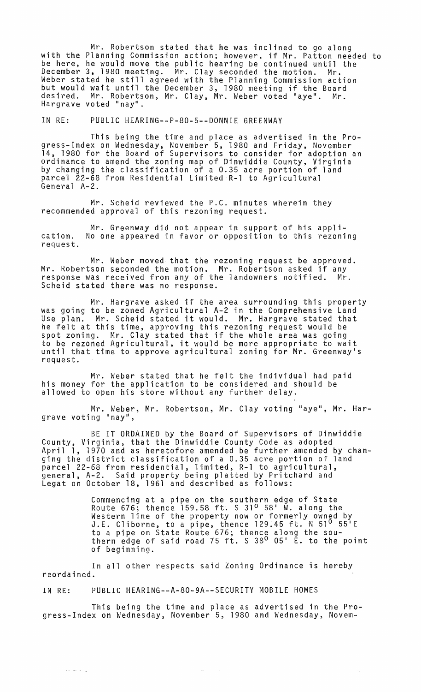Mr. Robertson stated that he was inclined to go along with the Planning Commission action; however, if Mr. Patton needed to be here, he would move the public hearing be continued until the December 3, 1980 meeting. Mr. Clay seconded the motion. Mr. Becomber 5, 1988 meeting: This endy seconded the motion: This<br>Weber stated he still agreed with the Planning Commission action but would wait until the December 3, 1980 meeting if the Board desired. Mr. Robertson, Mr. Clay, Mr. Weber voted "aye". Mr. Hargrave voted "nay".

IN RE: PUBLIC HEARING--P-80-5--DONNIE GREENWAY

This being the time and place as advertised in the Progress-Index on Wednesday, November 5, 1980 and Friday, November 14, 1980 for the Board of Supervisors to consider for adoption an ordinance to amend the zoning map of Dinwiddie County, Virginia<br>by changing the classification of a 0.35 acre portion of land parcel 22-68 from Residential Limited R-l to Agricultural General A-2.

Mr. Scheid reviewed the P.C. minutes wherein they recommended approval of this rezoning request.

cation. request. Mr. Greenway did not appear in support of his appli-No one appeared in favor or opposition to this rezoning

Mr. Weber moved that the rezoning request be approved. Mr. Robertson seconded the motion. Mr. Robertson asked if any response was received from any of the landowners notified. Mr. Scheid stated there was no response.

Mr. Hargrave asked if the area surrounding this property was going to be zoned Agricultural A-2 in the Comprehensive Land was going to be zoned Agricultural A-2 in the comprenensive Land<br>Use plan. Mr. Scheid stated it would. Mr. Hargrave stated that he felt at this time, approving this rezoning request would be spot zoning. Mr. Clay stated that if the whole area was going to be rezoned Agricultural, it would be more appropriate to wait until that time to approve agricultural zoning for Mr. Greenwayls request.

Mr. Weber stated that he felt the individual had paid his money for the application to be considered and should be allowed to open his store without any further delay.

Mr. Weber, Mr. Robertson, Mr. Clay voting "aye", Mr. Hargrave voting "nay",

BE IT ORDAINED by the Board of Supervisors of Dinwiddie County, Virginia, that the Dinwiddie County Code as adopted April 1, 1970 and as heretofore amended be further amended by changing the district classification of a 0.35 acre portion of land parcel 22-68 from residential, limited, R-l to agricultural, general, A-2. Said property being platted by Pritchard and general, A-2. Said property being platted by Pritchard and<br>Legat on October 18, 1961 and described as follows:

> Commencing at a pipe on the southern edge of State commeneing at a pipe on the southern eage of state Western line of the property now or formerly owned by destern rine of the property now of formerly owned by<br>J.E. Cliborne, to a pipe, thence 129.45 ft. N 51<sup>0</sup> 55'E to a pipe on State Route 676; thence along the southern edge of said road 75 ft. S 38<sup>0</sup> 05' E. to the point of beginning.

In all other respects said Zoning Ordinance is hereby reordained.

## IN RE: PUBLIC HEARING--A-80-9A--SECURITY MOBILE HOMES

 $\epsilon$  , and an  $\epsilon_{\rm B}$ 

This being the time and place as advertised in the Progress-Index on Wednesday, November 5, 1980 and Wednesday, Novem-

> $\Delta\omega$  .  $\sim 10$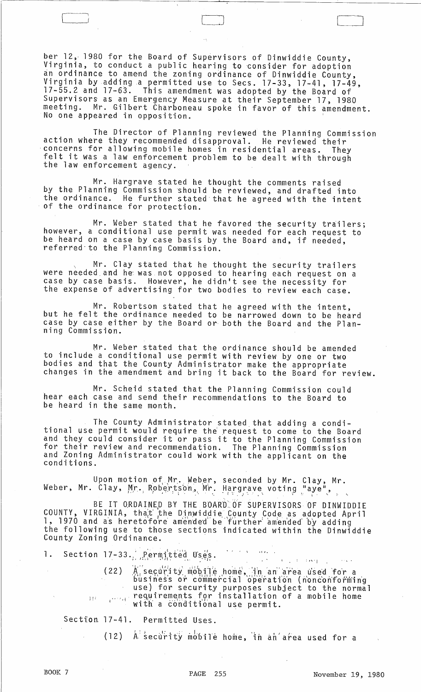ber 12, 1980 for the Board of Supervisors of Dinwiddie County, Virginia, to conduct a public hearing to consider for adoption an ordinance to amend the zoning ordinance of Dinwiddie County, Virginia by adding a permitted use to Secs. 17-33, 17-41, 17-49, 17-55.2 and 17-63. This amendment was adopted by the Board of Supervisors as an Emergency Measure at their September 17, 1980 meeting. Mr. Gilbert Charboneau spoke in favor of this amendment. No one appeared in opposition.

 $\Box$ 

The Director of Planning reviewed the Planning Commission action where they recommended disapproval. He reviewed their concerns for allowing mobile homes in residential areas. They felt it was a law enforcement problem to be dealt with through<br>the law enforcement agency.

Mr. Hargrave stated he thought the comments raised by the Planning Commission should be reviewed, and drafted into the ordinance. He further stated that he agreed with the intent of the ordinance for protection.

Mr. Weber stated that he favored the security trailers; however, a conditional use permit was needed for each request to be heard on a case by case basis by the Board and, if needed, referred'to the Planning Commission.

Mr. Clay stated that he thought the security trailers were needed and he was not opposed to hearing each request on a case by case basis. However, he didn't see the necessity for the expense of advertising for two bodies to review each case.

Mr. Robertson stated that he agreed with the intent, but he felt the ordinance needed to be narrowed down to be heard case by case either by the Board or both the Board and the Planning Commission.

Mr. Weber stated that the ordinance should be amended to include a conditional use permit with review by one or two bodies and that the County Administrator make the appropriate changes in the amendment and bring it back to the Board for review.

Mr. Scheid stated that the Planning Commission could hear each case and send their recommendations to the Board to be heard in the same month.

The County Administrator stated that adding a conditional use permit would require the request to come to the Board and they could consider it or pass it to the Planning Commission for their review and recommendation. The Planning Commission and Zoning Administrator could work with the applicant on the conditions.

Upon motion of Mr. Weber, seconded by Mr. Clay, Mr. Weber, Mr. Clay, Mr. Robertson, Mr. Hargrave voting "aye",

BE IT ORDAINED BY THE BOARD OF SUPERVISORS OF DINWIDDIE COUNTY, VIRGINIA, that the Djnwiddie County Code as adopted April<br>1, 1970 and as heretofore amended be further amended by adding the following use to those sections indicated within the Dinwiddie County Zoning Ordinance. '

1. Section 17-33.  $P_i$ ermitted Uses.  $\ldots$  it is

(22) A security mobile home, in an area used for a <sup>J</sup>!i bus iness or commercial operation (nonconforming use) for security purposes subject to the normal requirements for installation of a mobile home with a  $\check{\rm cond}$ itional use permit.

Section 17-41. Permitted Uses.

(12)  $A^T$  security mobile home, in an'area used for a

 $x_{\rm in}$   $x_{\rm in}$   $\alpha_{\rm M}$  .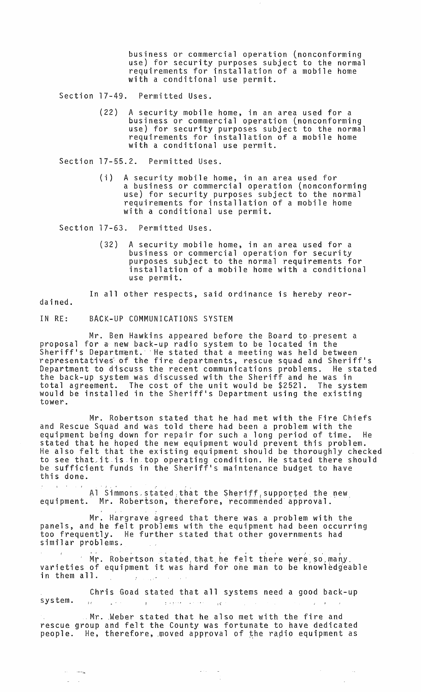business or commercial operation (nonconforming use) for security purposes subject to the normal requirements for installation of a mobile home with a conditional use permit.

Section 17-49. Permitted Uses.

(22) A security mobile home, in an area used for a business or commercial operation (nonconforming use) for security purposes subject to the normal requirements for installation of a mobile home with a conditional use permit.

Section 17-55.2. Permitted Uses.

(i) A security mobile home, in an area used for a business or commercial operation (nonconforming use) for security purposes subject to the normal requirements for installation of a mobile home with a conditional use permit.

Section 17-63. Permitted Uses.

(32) A security mobile home, in an area used for a business or commercial operation for security purposes subject to the normal requirements for installation of a mobile home with a conditional use permit.

In all other respects, said ordinance is hereby reor-

dained.

. . . . <u>. .</u>

IN RE: BACK-UP COMMUNICATIONS SYSTEM

Mr. Ben Hawkins appeared before the Board to present a proposal for a new back-up radio system to be located in the sheriff's Department. He stated that a meeting was held between representatives of the fire departments, rescue squad and Sheriff's Department to discuss the recent communications problems. He stated the back-up system was discussed with the Sheriff and he was in total agreement. The cost of the unit would be \$2521. The system would be installed in the Sheriff's Department using the existing tower.

Mr. Robertson stated that he had met with the Fire Chiefs and Rescue Squad and was told there had been a problem with the equipment being down for repair for such a long period of time. He stated that he hoped the new equipment would prevent this problem. He also felt that the existing equipment should be thoroughly checked to see that, it is in top operating condition. He stated there should be sufficient funds in the Sheriff's maintenance budget to have this done.

.<br>Al Simmons stated that the Sheriff supported the new equipment. Mr. Robertson, therefore, recommended approval.

Mr. Hargrave agreed that there was a problem with the panels, and he felt problems with the equipment had been occurring too frequently. He further stated that other governments had similar problems.

 $^{\prime}$  Mr. Robertson stated, that he felt there were, so many. varieties of equipment it was hard for one man to be knowledgeable in them all.

Chris Goad stated that all systems need a good back-up system.  $\frac{1}{2}$  ,  $\frac{1}{2}$  ,  $\frac{1}{2}$ المتحادث فتتوجج  $\mathbf{r}$  $\pm 0.1$ 

 $\blacksquare$  Mr. . Weber stated that he also met with the fire and rescue group and felt the County was fortunate to have dedicated people. He, therefore, moved approval of the radio equipment as

 $\omega$  (  $\omega$  )  $\omega$  ) as

 $\sim$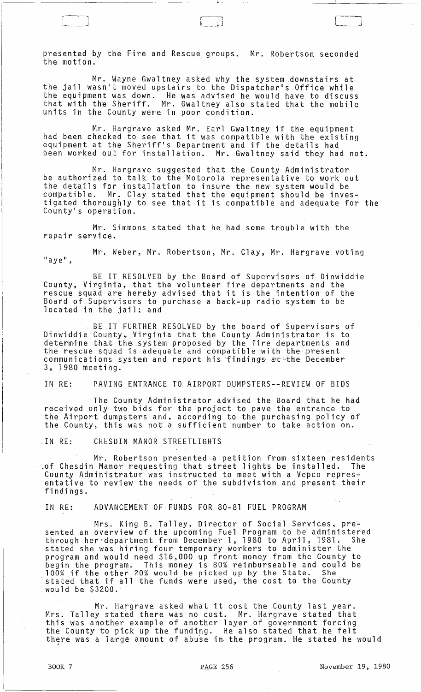presented by the Fire and Rescue groups. Mr. Robertson seconded the motion. .

Mr. Wayne Gwaltney asked why the system downstairs at the jail wasn't moved upstairs to the Dispatcher's Office while the equipment was down. He was advised he would have to discuss that with the Sheriff. Mr. Gwaltney also stated that the mobile units in the County were in poor condition.

Mr. Hargrave asked Mr. Earl Gwaltney if the equipment had been checked to see that it was compatible with the existing equipment at the Sheriff's Department and if the details had been worked out for installation. Mr. Gwaltney said they had not.

Mr. Hargrave suggested that the County Administrator be authorized to talk to the Motorola representative to work out the details for installation to insure the new system would be compatible. Mr. Clay stated that the equipment should be investigated thoroughly to see that it is compatible and adequate for the County's operation.

Mr. Simmons stated that he had some trouble with the repair service.

Mr. Weber, Mr. Robertson, Mr. Clay, Mr. Hargrave voting "aye",

BE IT RESOLVED by the Board of Supervisors of Dinwiddie County, Virginia, that the volunteer fire departments and the rescue squad are hereby advised that it is the intention of the Board of Supervisors to purchase a back-up radio system to be located in the jail; and

BE .IT FURTHER RESOLVED by the board of Supervisors of Dinwiddie County, Virginia that the County Administrator is to determine that the system proposed by the fire departments and the rescue'squad is.adequate and compatible with the',present communications system and report his findings at the December 3, J980 meeting.

IN RE: PAVING ENTRANCE TO AIRPORT DUMPSTERS--REVIEW OF BIDS

The County Administrator advised the Board that he had received only two bids for the project to pave the entrance to the Airport dumpsters and, according to the purchasing policy of the County, this was not a sufficient number to take action on.

.IN RE: CHESDIN MANOR STREETLIGHTS

Mr. Robertson presented a petition from sixteen residents .~f Chesdin Manor requesting that street lights be installed. The County Administrator was instructed to meet with a Vepco representative to review the needs of the subdivision and present their findings.

IN RE: ADVANCEMENT OF·FUNDS FOR 80-81 FUEL PROGRAM·

Mrs. King B. Talley, Director of Social Services, presented an overview of the upcoming Fuel Program to be administered through her'department from December 1, 1980 to April, 1981. She stated she was hiring four temporary workers to administer the program and would need \$16,000 up front money from the County to begin the program. This money is 80% reimburseable and could be 100% if the other 20% would be picked up by the State. She<br>stated that if all the funds were used, the cost to the County would be \$3200.

Mr. Hargrave asked what it cost the County last year. Mrs. Talley stated there was no cost. Mr. Hargrave stated that this was another example of another layer of government forcing the County to pick up the funding. He also stated that he felt the county to pick up the funding. The aiso stated that he felt<br>there was a large amount of abuse in the program. He stated he would